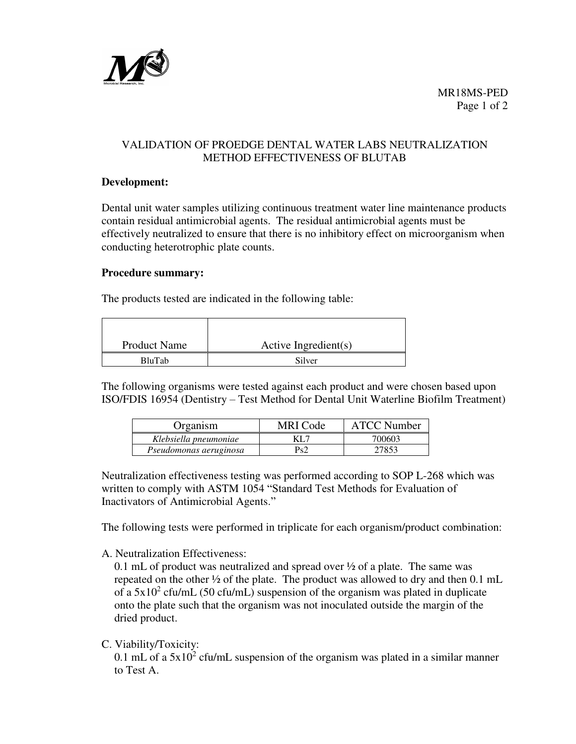

# VALIDATION OF PROEDGE DENTAL WATER LABS NEUTRALIZATION METHOD EFFECTIVENESS OF BLUTAB

#### **Development:**

Dental unit water samples utilizing continuous treatment water line maintenance products contain residual antimicrobial agents. The residual antimicrobial agents must be effectively neutralized to ensure that there is no inhibitory effect on microorganism when conducting heterotrophic plate counts.

#### **Procedure summary:**

The products tested are indicated in the following table:

| <b>Product Name</b> | Active Ingredient(s) |  |  |
|---------------------|----------------------|--|--|
| <b>BluTab</b>       | Silver               |  |  |

The following organisms were tested against each product and were chosen based upon ISO/FDIS 16954 (Dentistry – Test Method for Dental Unit Waterline Biofilm Treatment)

| Organism               | MRI Code | <b>ATCC Number</b> |
|------------------------|----------|--------------------|
| Klebsiella pneumoniae  | KL 7     | 700603             |
| Pseudomonas aeruginosa | Ps2      | 27853              |

Neutralization effectiveness testing was performed according to SOP L-268 which was written to comply with ASTM 1054 "Standard Test Methods for Evaluation of Inactivators of Antimicrobial Agents."

The following tests were performed in triplicate for each organism/product combination:

A. Neutralization Effectiveness:

0.1 mL of product was neutralized and spread over ½ of a plate. The same was repeated on the other ½ of the plate. The product was allowed to dry and then 0.1 mL of a  $5x10^2$  cfu/mL (50 cfu/mL) suspension of the organism was plated in duplicate onto the plate such that the organism was not inoculated outside the margin of the dried product.

C. Viability/Toxicity:

0.1 mL of a  $5x10^2$  cfu/mL suspension of the organism was plated in a similar manner to Test A.